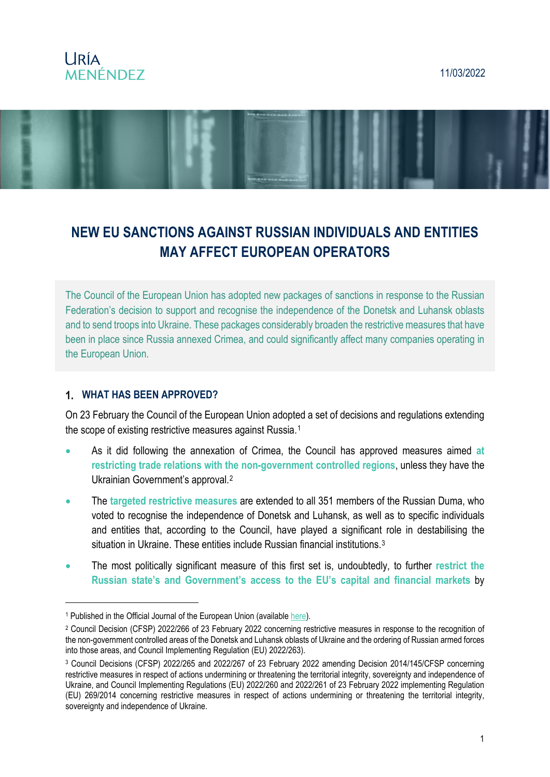### **URÍA MENÉNDEZ**

#### 11/03/2022



# **NEW EU SANCTIONS AGAINST RUSSIAN INDIVIDUALS AND ENTITIES MAY AFFECT EUROPEAN OPERATORS**

The Council of the European Union has adopted new packages of sanctions in response to the Russian Federation's decision to support and recognise the independence of the Donetsk and Luhansk oblasts and to send troops into Ukraine. These packages considerably broaden the restrictive measures that have been in place since Russia annexed Crimea, and could significantly affect many companies operating in the European Union.

#### **WHAT HAS BEEN APPROVED?**

<u>.</u>

On 23 February the Council of the European Union adopted a set of decisions and regulations extending the scope of existing restrictive measures against Russia.[1](#page-0-0)

- As it did following the annexation of Crimea, the Council has approved measures aimed **at restricting trade relations with the non-government controlled regions**, unless they have the Ukrainian Government's approval.[2](#page-0-1)
- The **targeted restrictive measures** are extended to all 351 members of the Russian Duma, who voted to recognise the independence of Donetsk and Luhansk, as well as to specific individuals and entities that, according to the Council, have played a significant role in destabilising the situation in Ukraine. These entities include Russian financial institutions.<sup>[3](#page-0-2)</sup>
- The most politically significant measure of this first set is, undoubtedly, to further **restrict the Russian state's and Government's access to the EU's capital and financial markets** by

<span id="page-0-0"></span><sup>&</sup>lt;sup>1</sup> Published in the Official Journal of the European Union (available [here\)](https://eur-lex.europa.eu/legal-content/EN/TXT/PDF/?uri=OJ:L:2022:042I:FULL&from=EN).

<span id="page-0-1"></span><sup>2</sup> Council Decision (CFSP) 2022/266 of 23 February 2022 concerning restrictive measures in response to the recognition of the non-government controlled areas of the Donetsk and Luhansk oblasts of Ukraine and the ordering of Russian armed forces into those areas, and Council Implementing Regulation (EU) 2022/263).

<span id="page-0-2"></span><sup>3</sup> Council Decisions (CFSP) 2022/265 and 2022/267 of 23 February 2022 amending Decision 2014/145/CFSP concerning restrictive measures in respect of actions undermining or threatening the territorial integrity, sovereignty and independence of Ukraine, and Council Implementing Regulations (EU) 2022/260 and 2022/261 of 23 February 2022 implementing Regulation (EU) 269/2014 concerning restrictive measures in respect of actions undermining or threatening the territorial integrity, sovereignty and independence of Ukraine.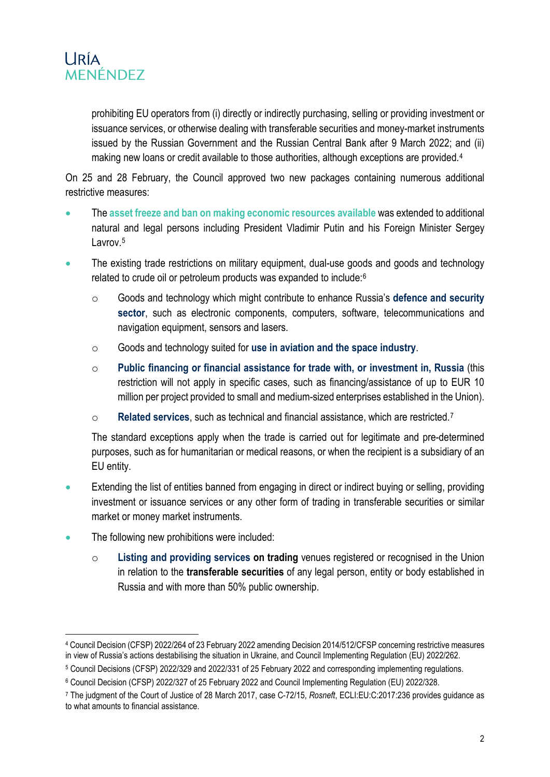

prohibiting EU operators from (i) directly or indirectly purchasing, selling or providing investment or issuance services, or otherwise dealing with transferable securities and money-market instruments issued by the Russian Government and the Russian Central Bank after 9 March 2022; and (ii) making new loans or credit available to those authorities, although exceptions are provided.<sup>[4](#page-1-0)</sup>

On 25 and 28 February, the Council approved two new packages containing numerous additional restrictive measures:

- The **asset freeze and ban on making economic resources available** was extended to additional natural and legal persons including President Vladimir Putin and his Foreign Minister Sergey Lavrov.<sup>[5](#page-1-1)</sup>
- The existing trade restrictions on military equipment, dual-use goods and goods and technology related to crude oil or petroleum products was expanded to include:[6](#page-1-2)
	- o Goods and technology which might contribute to enhance Russia's **defence and security sector**, such as electronic components, computers, software, telecommunications and navigation equipment, sensors and lasers.
	- o Goods and technology suited for **use in aviation and the space industry**.
	- o **Public financing or financial assistance for trade with, or investment in, Russia** (this restriction will not apply in specific cases, such as financing/assistance of up to EUR 10 million per project provided to small and medium-sized enterprises established in the Union).
	- o **Related services**, such as technical and financial assistance, which are restricted.[7](#page-1-3)

The standard exceptions apply when the trade is carried out for legitimate and pre-determined purposes, such as for humanitarian or medical reasons, or when the recipient is a subsidiary of an EU entity.

- Extending the list of entities banned from engaging in direct or indirect buying or selling, providing investment or issuance services or any other form of trading in transferable securities or similar market or money market instruments.
- The following new prohibitions were included:
	- o **Listing and providing services on trading** venues registered or recognised in the Union in relation to the **transferable securities** of any legal person, entity or body established in Russia and with more than 50% public ownership.

<span id="page-1-0"></span> <sup>4</sup> Council Decision (CFSP) 2022/264 of 23 February 2022 amending Decision 2014/512/CFSP concerning restrictive measures in view of Russia's actions destabilising the situation in Ukraine, and Council Implementing Regulation (EU) 2022/262.

<span id="page-1-1"></span><sup>5</sup> Council Decisions (CFSP) 2022/329 and 2022/331 of 25 February 2022 and corresponding implementing regulations.

<span id="page-1-2"></span><sup>6</sup> Council Decision (CFSP) 2022/327 of 25 February 2022 and Council Implementing Regulation (EU) 2022/328.

<span id="page-1-3"></span><sup>7</sup> The judgment of the Court of Justice of 28 March 2017, case C-72/15, *Rosneft*, ECLI:EU:C:2017:236 provides guidance as to what amounts to financial assistance.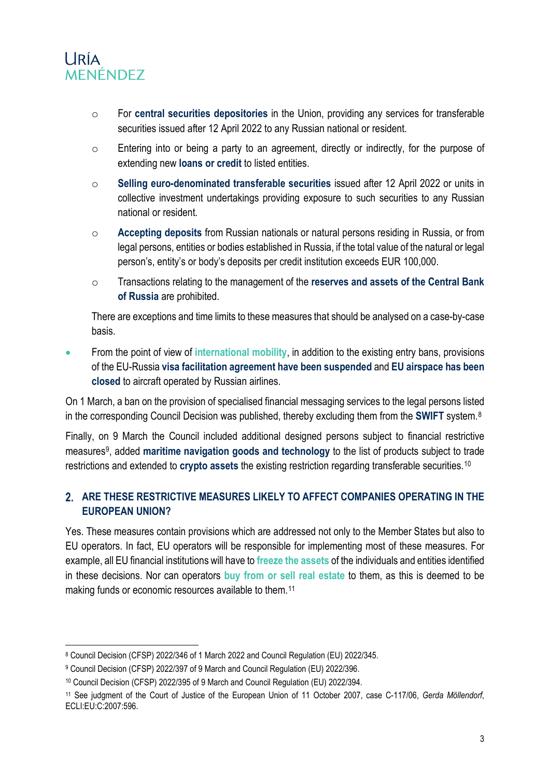

- o For **central securities depositories** in the Union, providing any services for transferable securities issued after 12 April 2022 to any Russian national or resident.
- o Entering into or being a party to an agreement, directly or indirectly, for the purpose of extending new **loans or credit** to listed entities.
- o **Selling euro-denominated transferable securities** issued after 12 April 2022 or units in collective investment undertakings providing exposure to such securities to any Russian national or resident.
- o **Accepting deposits** from Russian nationals or natural persons residing in Russia, or from legal persons, entities or bodies established in Russia, if the total value of the natural or legal person's, entity's or body's deposits per credit institution exceeds EUR 100,000.
- o Transactions relating to the management of the **reserves and assets of the Central Bank of Russia** are prohibited.

There are exceptions and time limits to these measures that should be analysed on a case-by-case basis.

• From the point of view of **international mobility**, in addition to the existing entry bans, provisions of the EU-Russia **visa facilitation agreement have been suspended** and **EU airspace has been closed** to aircraft operated by Russian airlines.

On 1 March, a ban on the provision of specialised financial messaging services to the legal persons listed in the corresponding Council Decision was published, thereby excluding them from the **SWIFT** system.[8](#page-2-0)

Finally, on 9 March the Council included additional designed persons subject to financial restrictive measures[9](#page-2-1), added **maritime navigation goods and technology** to the list of products subject to trade restrictions and extended to **crypto assets** the existing restriction regarding transferable securities.[10](#page-2-2)

#### **ARE THESE RESTRICTIVE MEASURES LIKELY TO AFFECT COMPANIES OPERATING IN THE EUROPEAN UNION?**

Yes. These measures contain provisions which are addressed not only to the Member States but also to EU operators. In fact, EU operators will be responsible for implementing most of these measures. For example, all EU financial institutions will have to **freeze the assets** of the individuals and entities identified in these decisions. Nor can operators **buy from or sell real estate** to them, as this is deemed to be making funds or economic resources available to them.<sup>[11](#page-2-3)</sup>

<span id="page-2-0"></span> <sup>8</sup> Council Decision (CFSP) 2022/346 of 1 March 2022 and Council Regulation (EU) 2022/345.

<span id="page-2-1"></span><sup>9</sup> Council Decision (CFSP) 2022/397 of 9 March and Council Regulation (EU) 2022/396.

<span id="page-2-2"></span><sup>10</sup> Council Decision (CFSP) 2022/395 of 9 March and Council Regulation (EU) 2022/394.

<span id="page-2-3"></span><sup>11</sup> See judgment of the Court of Justice of the European Union of 11 October 2007, case C-117/06, *Gerda Möllendorf*, ECLI:EU:C:2007:596.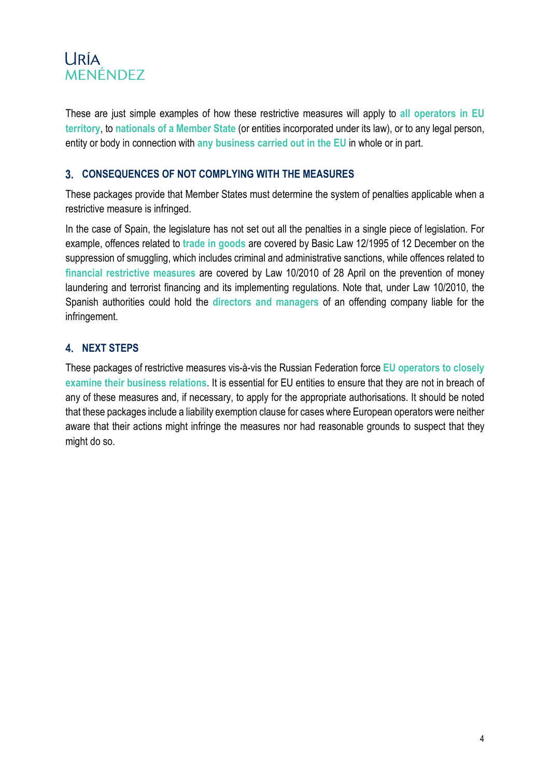## **URÍA** MENÉNDEZ

These are just simple examples of how these restrictive measures will apply to **all operators in EU territory**, to **nationals of a Member State** (or entities incorporated under its law), or to any legal person, entity or body in connection with **any business carried out in the EU** in whole or in part.

### **CONSEQUENCES OF NOT COMPLYING WITH THE MEASURES**

These packages provide that Member States must determine the system of penalties applicable when a restrictive measure is infringed.

In the case of Spain, the legislature has not set out all the penalties in a single piece of legislation. For example, offences related to **trade in goods** are covered by Basic Law 12/1995 of 12 December on the suppression of smuggling, which includes criminal and administrative sanctions, while offences related to **financial restrictive measures** are covered by Law 10/2010 of 28 April on the prevention of money laundering and terrorist financing and its implementing regulations. Note that, under Law 10/2010, the Spanish authorities could hold the **directors and managers** of an offending company liable for the infringement.

### **NEXT STEPS**

These packages of restrictive measures vis-à-vis the Russian Federation force **EU operators to closely examine their business relations**. It is essential for EU entities to ensure that they are not in breach of any of these measures and, if necessary, to apply for the appropriate authorisations. It should be noted that these packages include a liability exemption clause for cases where European operators were neither aware that their actions might infringe the measures nor had reasonable grounds to suspect that they might do so.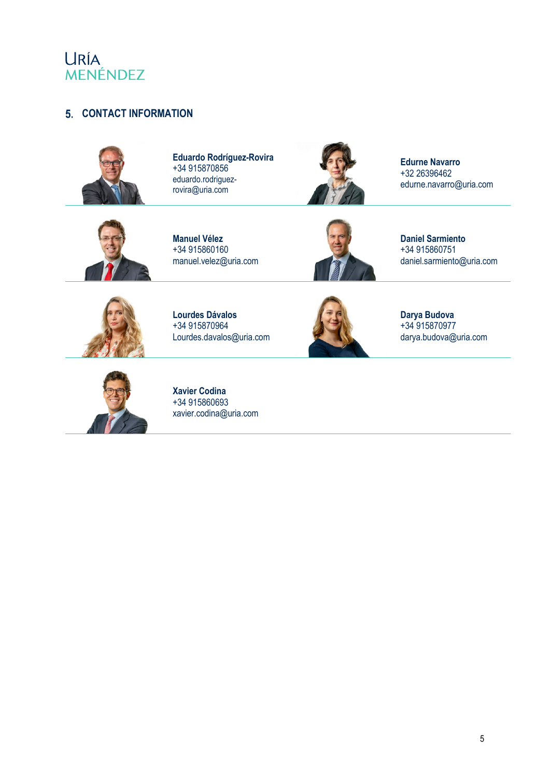

#### **CONTACT INFORMATION**



**Eduardo Rodríguez-Rovira**  +34 915870856 eduardo.rodriguezrovira@uria.com



**Edurne Navarro** +32 26396462 edurne.navarro@uria.com



**Manuel Vélez** +34 915860160 manuel.velez@uria.com



**Daniel Sarmiento** +34 915860751 daniel.sarmiento@uria.com



**Lourdes Dávalos** +34 915870964 Lourdes.davalos@uria.com



**Darya Budova** +34 915870977 darya.budova@uria.com



**Xavier Codina** +34 915860693 xavier.codina@uria.com